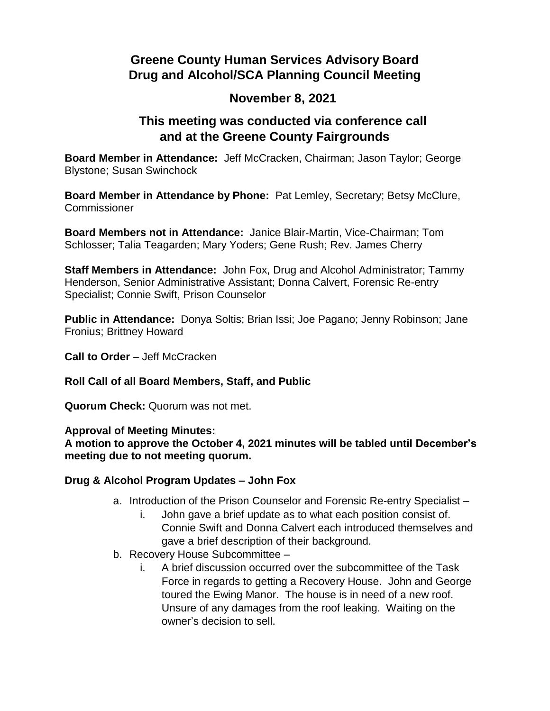# **Greene County Human Services Advisory Board Drug and Alcohol/SCA Planning Council Meeting**

## **November 8, 2021**

## **This meeting was conducted via conference call and at the Greene County Fairgrounds**

**Board Member in Attendance:** Jeff McCracken, Chairman; Jason Taylor; George Blystone; Susan Swinchock

**Board Member in Attendance by Phone:** Pat Lemley, Secretary; Betsy McClure, **Commissioner** 

**Board Members not in Attendance:** Janice Blair-Martin, Vice-Chairman; Tom Schlosser; Talia Teagarden; Mary Yoders; Gene Rush; Rev. James Cherry

**Staff Members in Attendance:** John Fox, Drug and Alcohol Administrator; Tammy Henderson, Senior Administrative Assistant; Donna Calvert, Forensic Re-entry Specialist; Connie Swift, Prison Counselor

**Public in Attendance:** Donya Soltis; Brian Issi; Joe Pagano; Jenny Robinson; Jane Fronius; Brittney Howard

**Call to Order** – Jeff McCracken

### **Roll Call of all Board Members, Staff, and Public**

**Quorum Check:** Quorum was not met.

#### **Approval of Meeting Minutes:**

**A motion to approve the October 4, 2021 minutes will be tabled until December's meeting due to not meeting quorum.**

### **Drug & Alcohol Program Updates – John Fox**

- a. Introduction of the Prison Counselor and Forensic Re-entry Specialist
	- i. John gave a brief update as to what each position consist of. Connie Swift and Donna Calvert each introduced themselves and gave a brief description of their background.
- b. Recovery House Subcommittee
	- i. A brief discussion occurred over the subcommittee of the Task Force in regards to getting a Recovery House. John and George toured the Ewing Manor. The house is in need of a new roof. Unsure of any damages from the roof leaking. Waiting on the owner's decision to sell.